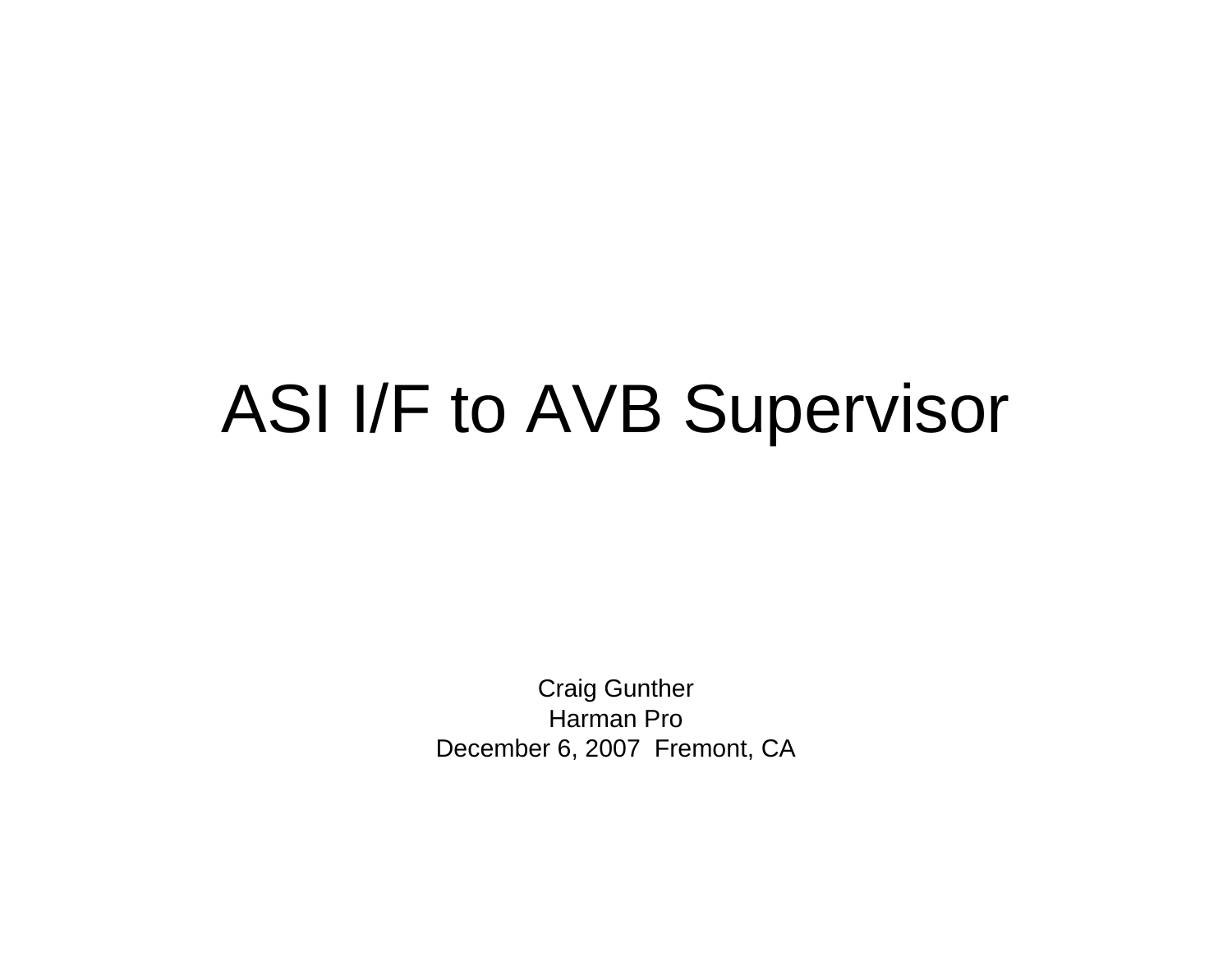## ASI I/F to AVB Supervisor

Craig GuntherHarman ProDecember 6, 2007 Fremont, CA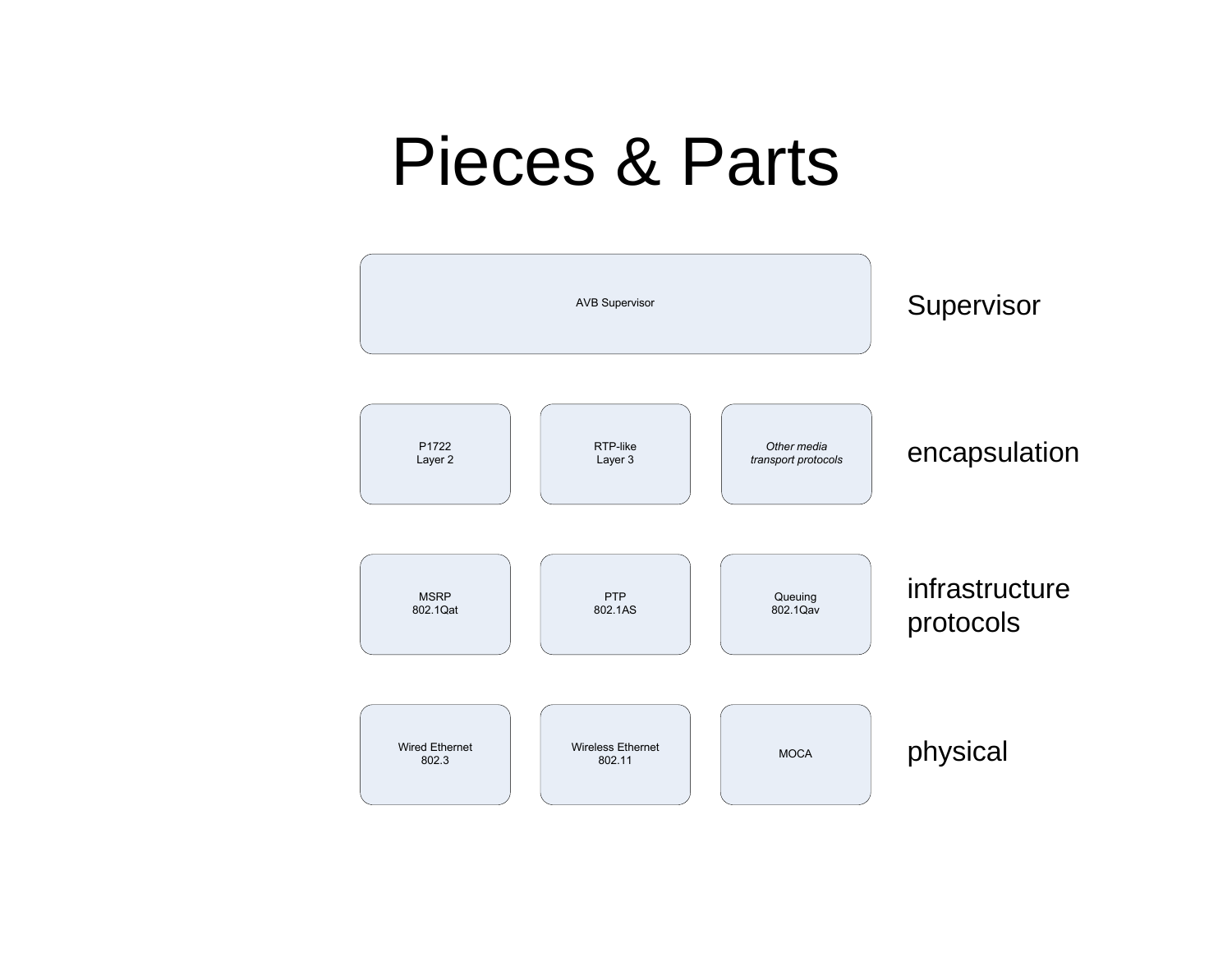## Pieces & Parts